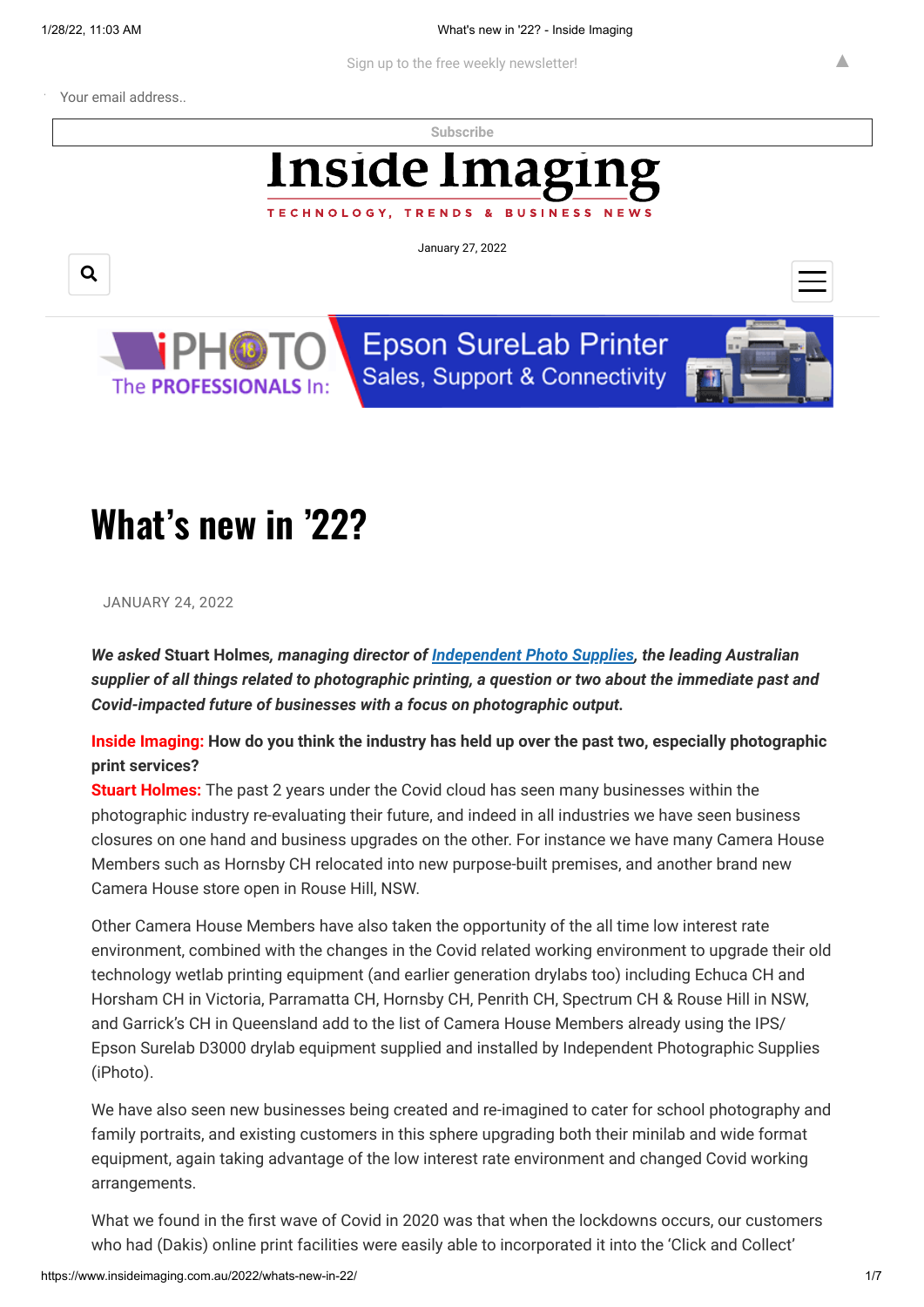Your email address..

**[Subscribe](https://www.insideimaging.com.au/)**

# **Inside Imagi**

TECHNOLOGY, TRENDS **BUSINESS**  $\overline{a}$ 

January 27, 2022





**Epson SureLab Printer** Sales, Support & Connectivity



▲

## **What's new in '22?**

JANUARY 24, 2022

*We asked* **Stuart Holmes***, managing director of [Independent Photo Supplies,](http://www.iphoto.net.au/) the leading Australian supplier of all things related to photographic printing, a question or two about the immediate past and Covid-impacted future of businesses with a focus on photographic output.*

**Inside Imaging: How do you think the industry has held up over the past two, especially photographic print services?**

**Stuart Holmes:** The past 2 years under the Covid cloud has seen many businesses within the photographic industry re-evaluating their future, and indeed in all industries we have seen business closures on one hand and business upgrades on the other. For instance we have many Camera House Members such as Hornsby CH relocated into new purpose-built premises, and another brand new Camera House store open in Rouse Hill, NSW.

Other Camera House Members have also taken the opportunity of the all time low interest rate environment, combined with the changes in the Covid related working environment to upgrade their old technology wetlab printing equipment (and earlier generation drylabs too) including Echuca CH and Horsham CH in Victoria, Parramatta CH, Hornsby CH, Penrith CH, Spectrum CH & Rouse Hill in NSW, and Garrick's CH in Queensland add to the list of Camera House Members already using the IPS/ Epson Surelab D3000 drylab equipment supplied and installed by Independent Photographic Supplies (iPhoto).

We have also seen new businesses being created and re-imagined to cater for school photography and family portraits, and existing customers in this sphere upgrading both their minilab and wide format equipment, again taking advantage of the low interest rate environment and changed Covid working arrangements.

What we found in the first wave of Covid in 2020 was that when the lockdowns occurs, our customers who had (Dakis) online print facilities were easily able to incorporated it into the 'Click and Collect'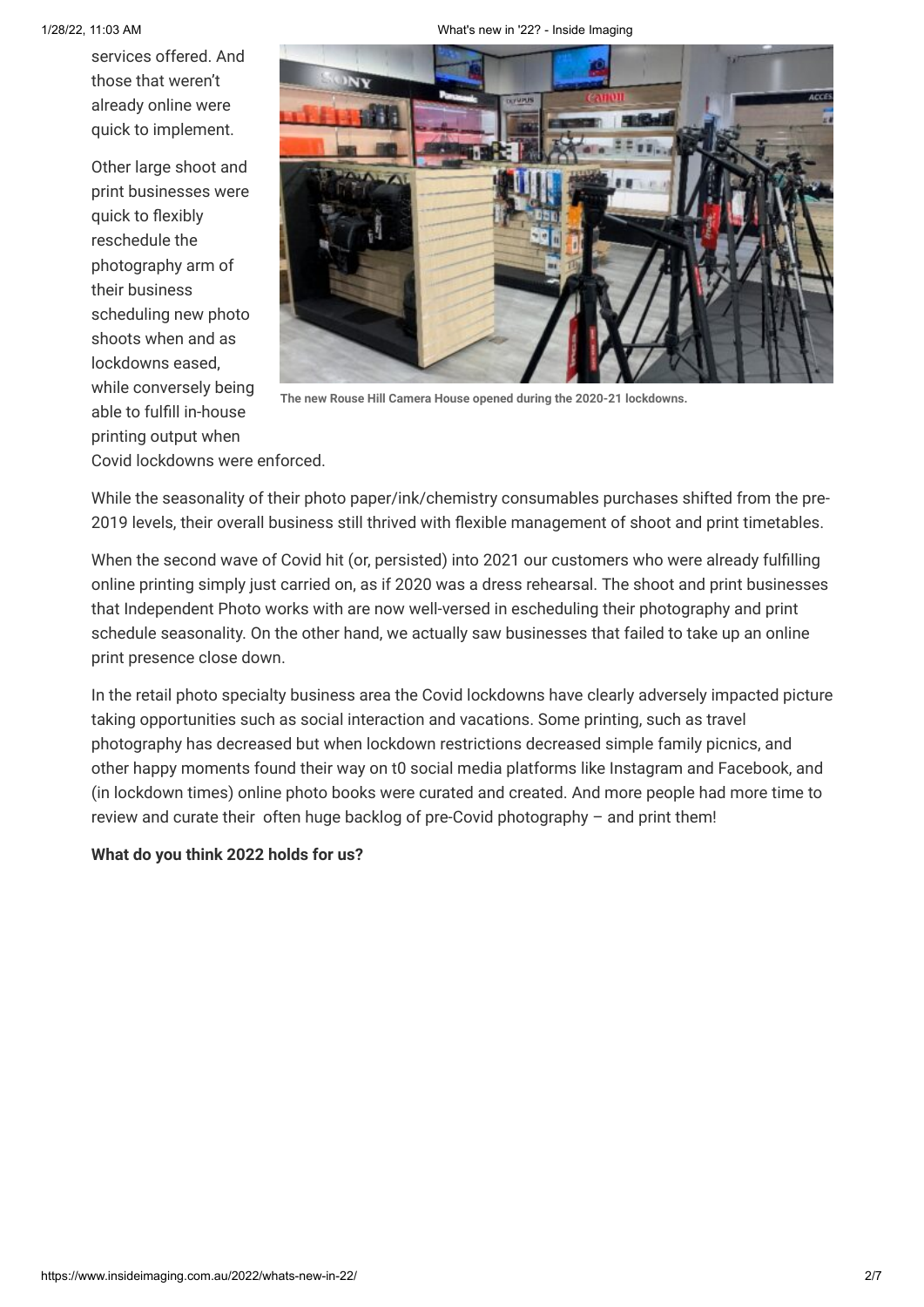services offered. And those that weren't already online were quick to implement.

Other large shoot and print businesses were quick to flexibly reschedule the photography arm of their business scheduling new photo shoots when and as lockdowns eased, while conversely being able to fulfill in-house printing output when



**The new Rouse Hill Camera House opened during the 2020-21 lockdowns.**

Covid lockdowns were enforced.

While the seasonality of their photo paper/ink/chemistry consumables purchases shifted from the pre-2019 levels, their overall business still thrived with flexible management of shoot and print timetables.

When the second wave of Covid hit (or, persisted) into 2021 our customers who were already fulfilling online printing simply just carried on, as if 2020 was a dress rehearsal. The shoot and print businesses that Independent Photo works with are now well-versed in escheduling their photography and print schedule seasonality. On the other hand, we actually saw businesses that failed to take up an online print presence close down.

In the retail photo specialty business area the Covid lockdowns have clearly adversely impacted picture taking opportunities such as social interaction and vacations. Some printing, such as travel photography has decreased but when lockdown restrictions decreased simple family picnics, and other happy moments found their way on t0 social media platforms like Instagram and Facebook, and (in lockdown times) online photo books were curated and created. And more people had more time to review and curate their often huge backlog of pre-Covid photography – and print them!

### **What do you think 2022 holds for us?**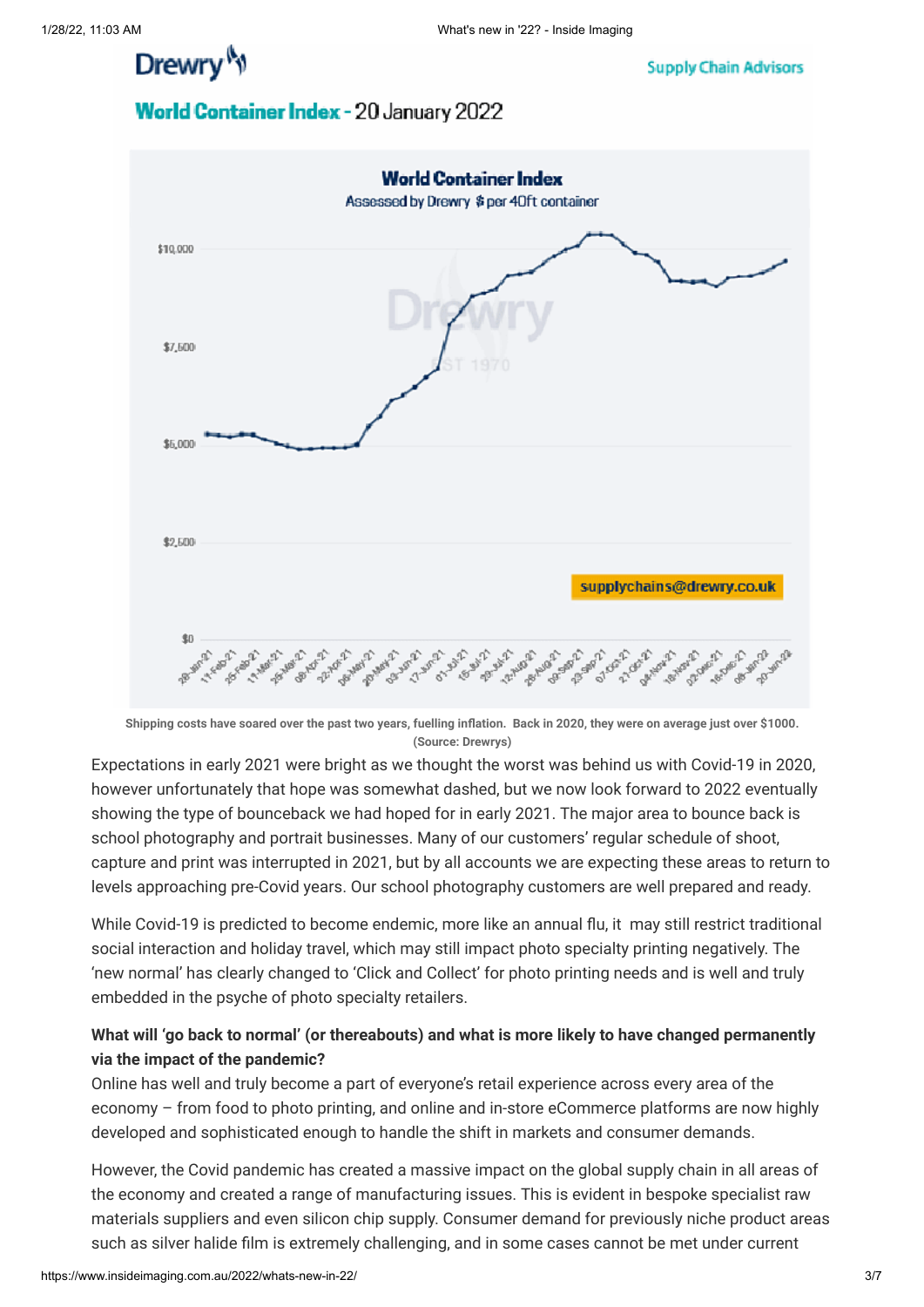Drewry<sup>N</sup>

**Supply Chain Advisors** 

### World Container Index - 20 January 2022



**Shipping costs have soared over the past two years, fuelling inflation. Back in 2020, they were on average just over \$1000. (Source: Drewrys)**

Expectations in early 2021 were bright as we thought the worst was behind us with Covid-19 in 2020, however unfortunately that hope was somewhat dashed, but we now look forward to 2022 eventually showing the type of bounceback we had hoped for in early 2021. The major area to bounce back is school photography and portrait businesses. Many of our customers' regular schedule of shoot, capture and print was interrupted in 2021, but by all accounts we are expecting these areas to return to levels approaching pre-Covid years. Our school photography customers are well prepared and ready.

While Covid-19 is predicted to become endemic, more like an annual flu, it may still restrict traditional social interaction and holiday travel, which may still impact photo specialty printing negatively. The 'new normal' has clearly changed to 'Click and Collect' for photo printing needs and is well and truly embedded in the psyche of photo specialty retailers.

### **What will 'go back to normal' (or thereabouts) and what is more likely to have changed permanently via the impact of the pandemic?**

Online has well and truly become a part of everyone's retail experience across every area of the economy – from food to photo printing, and online and in-store eCommerce platforms are now highly developed and sophisticated enough to handle the shift in markets and consumer demands.

However, the Covid pandemic has created a massive impact on the global supply chain in all areas of the economy and created a range of manufacturing issues. This is evident in bespoke specialist raw materials suppliers and even silicon chip supply. Consumer demand for previously niche product areas such as silver halide film is extremely challenging, and in some cases cannot be met under current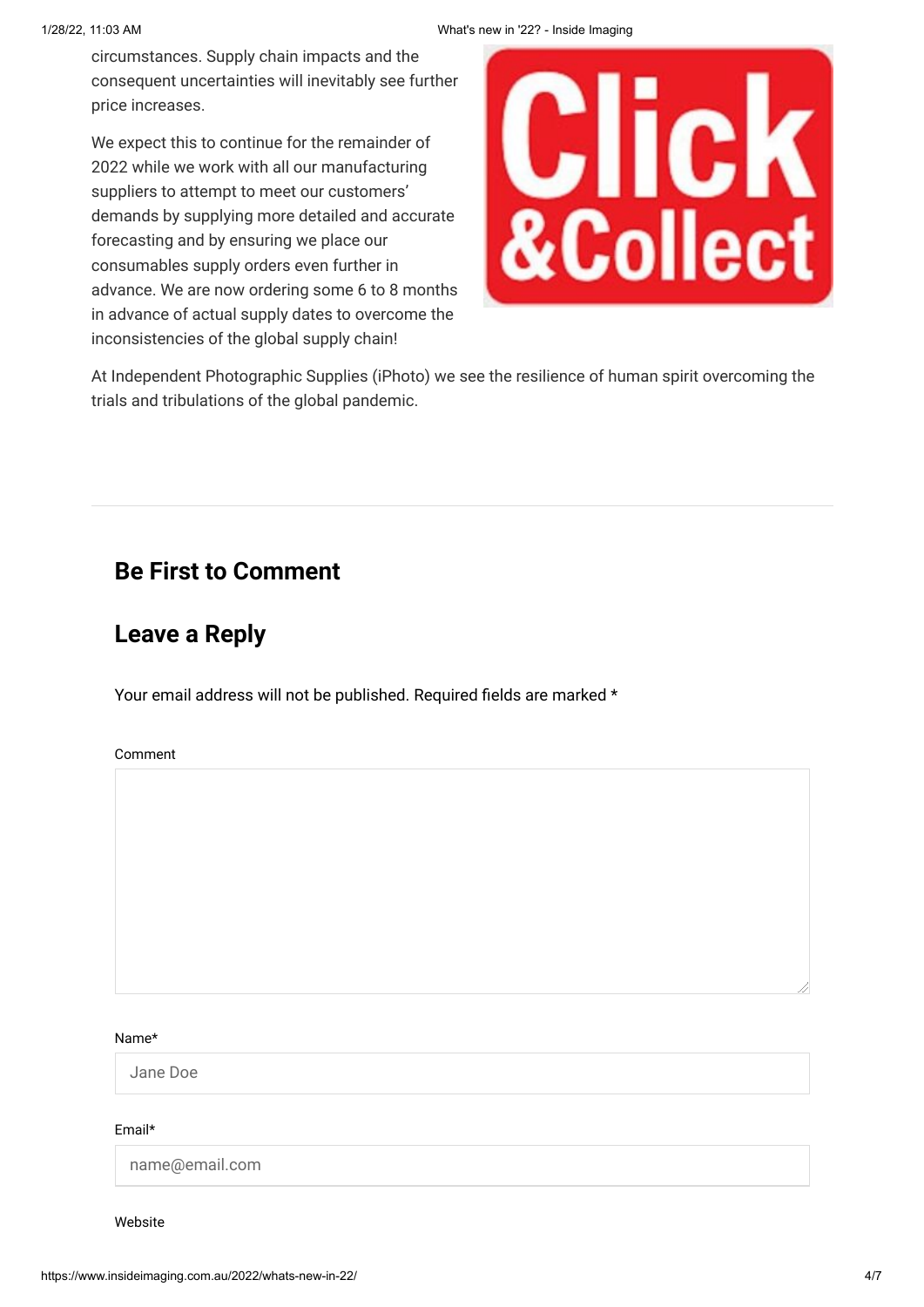circumstances. Supply chain impacts and the consequent uncertainties will inevitably see further price increases.

We expect this to continue for the remainder of 2022 while we work with all our manufacturing suppliers to attempt to meet our customers' demands by supplying more detailed and accurate forecasting and by ensuring we place our consumables supply orders even further in advance. We are now ordering some 6 to 8 months in advance of actual supply dates to overcome the inconsistencies of the global supply chain!



At Independent Photographic Supplies (iPhoto) we see the resilience of human spirit overcoming the trials and tribulations of the global pandemic.

## **Be First to Comment**

## **Leave a Reply**

Your email address will not be published. Required fields are marked \*

Comment

#### Name\*

Jane Doe

#### Email\*

name@email.com

Website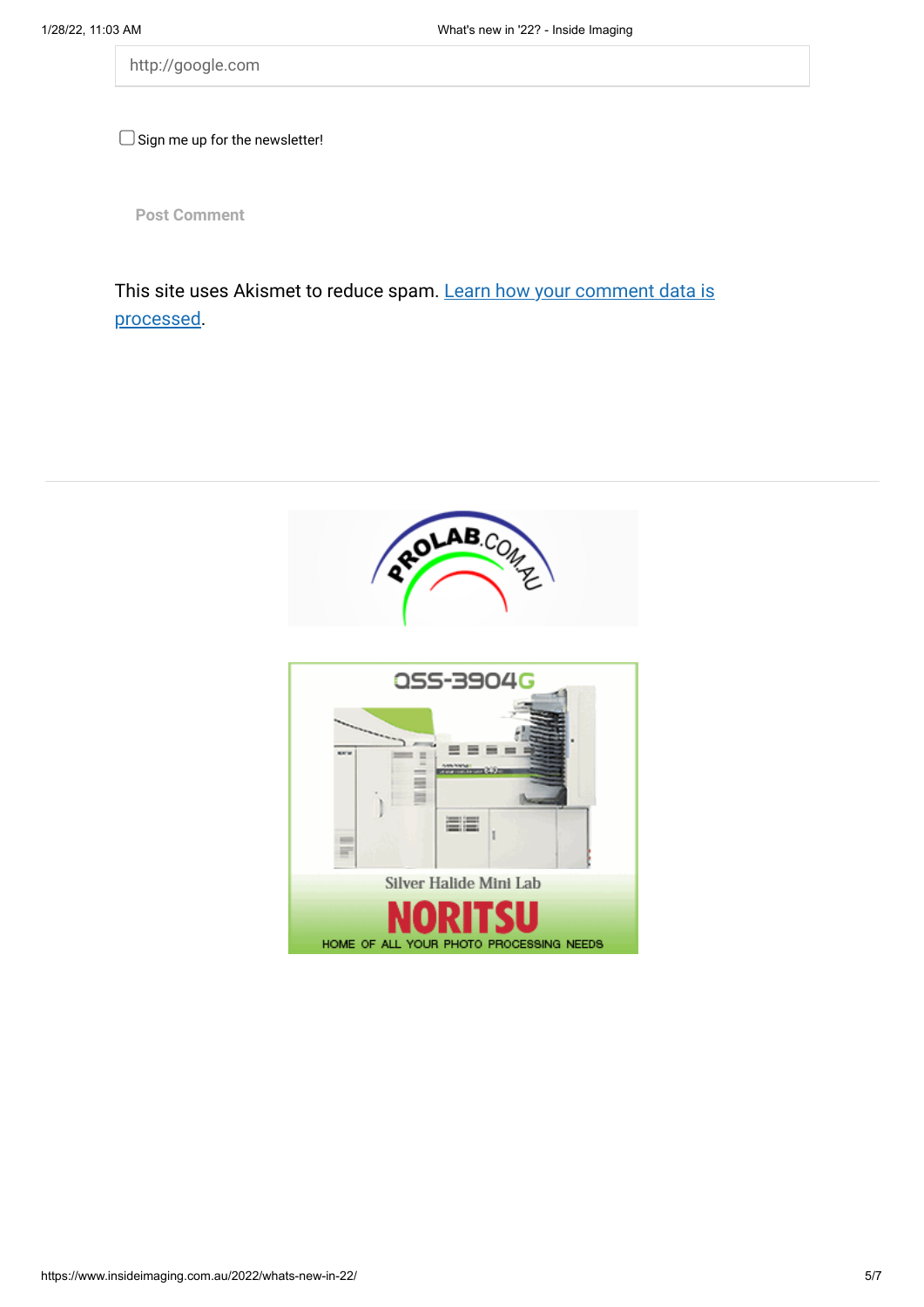http://google.com

 $\Box$  Sign me up for the newsletter!

**Post Comment**

[This site uses Akismet to reduce spam. Learn how your comment data is](https://akismet.com/privacy/) processed.

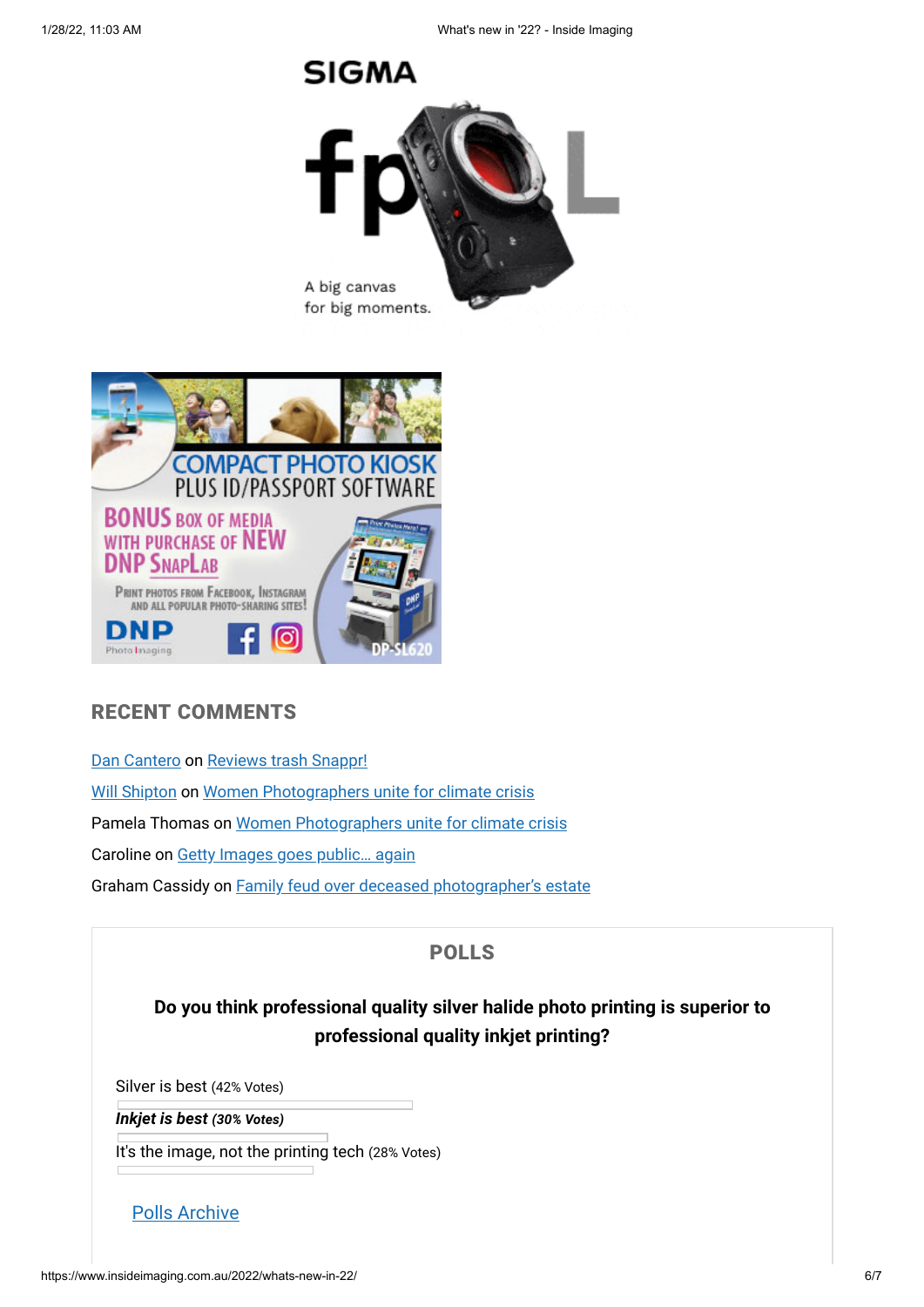



### RECENT COMMENTS

[Dan Cantero](https://dancanteroheadshots.com.au/) on [Reviews trash Snappr!](https://www.insideimaging.com.au/2021/reviews-trash-snappr/#comment-643997) [Will Shipton](https://www.insideimaging.com.au/) on [Women Photographers unite for climate crisis](https://www.insideimaging.com.au/2022/women-photographers-unite-for-climate-crisis/#comment-643995) Pamela Thomas on [Women Photographers unite for climate crisis](https://www.insideimaging.com.au/2022/women-photographers-unite-for-climate-crisis/#comment-643984) Caroline on [Getty Images goes public… again](https://www.insideimaging.com.au/2021/getty-images-goes-public-again/#comment-643982) Graham Cassidy on [Family feud over deceased photographer's estate](https://www.insideimaging.com.au/2022/family-feud-over-deceased-photographers-estate/#comment-643927)

### POLLS

### **Do you think professional quality silver halide photo printing is superior to professional quality inkjet printing?**

Silver is best (42% Votes)

*Inkjet is best (30% Votes)*

It's the image, not the printing tech (28% Votes)

[Polls Archive](https://www.insideimaging.com.au/pollsarchive/)